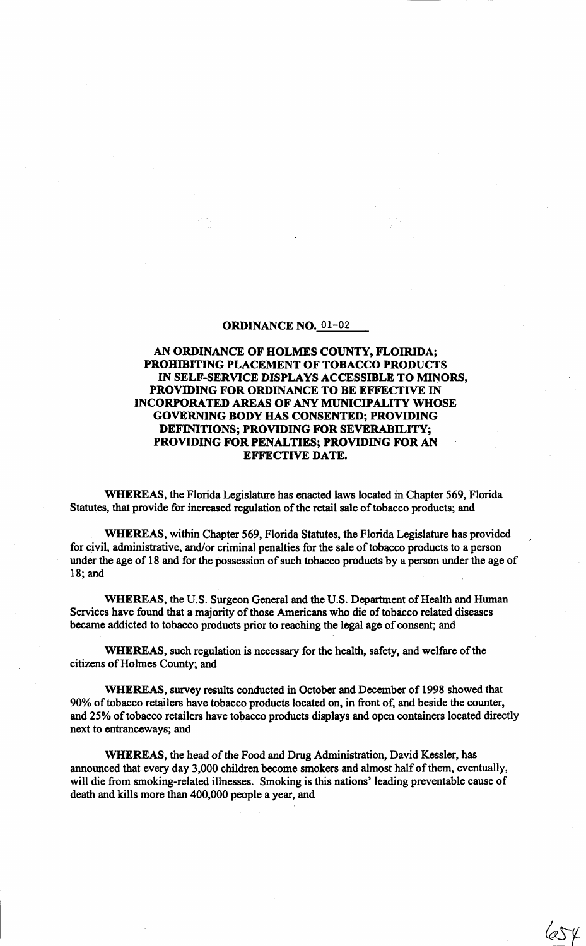#### ORDINANCE NO. 01-02

# AN ORDINANCE OF HOLMES COUNTY, FLOIRIDA; PROHIBITING PLACEMENT OF TOBACCO PRODUCTS IN SELF-SERVICE DISPLAYS ACCESSIBLE TO MINORS, PROVIDING FOR ORDINANCE TO BE EFFECTIVE IN INCORPORATED AREAS OF ANY MUNICIPALITY WHOSE GOVERNING BODY HAS CONSENTED; PROVIDING DEFINITIONS; PROVIDING FOR SEVERABILITY; PROVIDING FOR PENALTIES; PROVIDING FOR AN EFFECTIVE DATE.

WHEREAS, the Florida Legislature has enacted laws located in Chapter 569, Florida Statutes, that provide for increased regulation of the retail sale of tobacco products; and

WHEREAS, within Chapter 569, Florida Statutes, the Florida Legislature has provided for civil, administrative, and/or criminal penalties for the sale of tobacco products to a person under the age of 18 and for the possession of such tobacco products by a person under the age of 18; and

WHEREAS, the U.S. Surgeon General and the U.S. Department of Health and Human Services have found that a majority of those Americans who die of tobacco related diseases became addicted to tobacco products prior to reaching the legal age of consent; and

WHEREAS, such regulation is necessary for the health, safety, and welfare of the citizens of Holmes County; and

WHEREAS, survey results conducted in October and December of 1998 showed that 90% of tobacco retailers have tobacco products located on, in front of, and beside the counter, and 25% of tobacco retailers have tobacco products displays and open containers located directly next to entranceways; and

WHEREAS, the head of the Food and Drug Administration, David Kessler, has announced that every day 3,000 children become smokers and almost half of them, eventually, will die from smoking-related illnesses. Smoking is this nations' leading preventable cause of death and kills more than 400,000 people a year, and

 $454$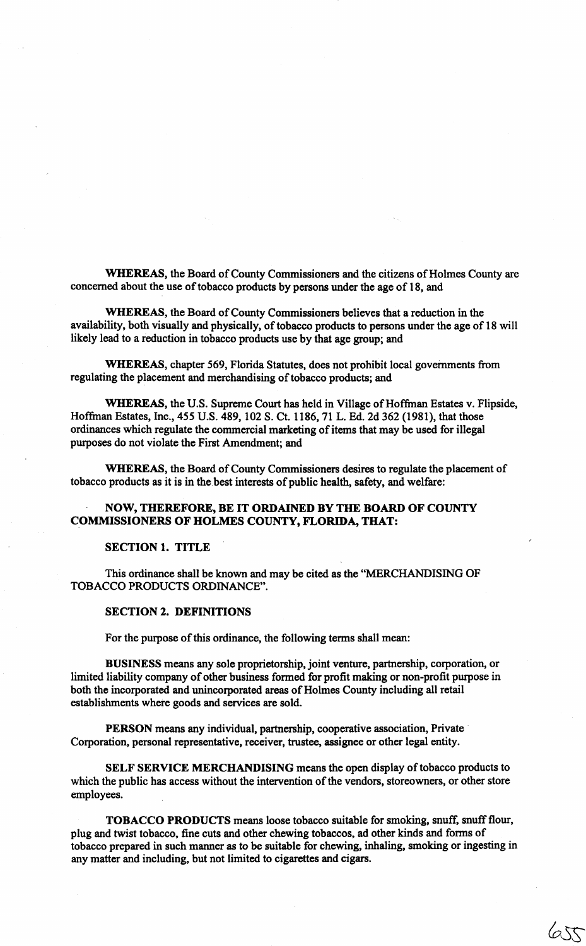WHEREAS, the Board of County Commissioners and the citizens of Holmes County are concerned about the use of tobacco products by persons under the age of 18, and

WHEREAS, the Board of County Commissioners believes that a reduction in the availability, both visually and physically, of tobacco products to persons under the age of 18 will likely lead to a reduction in tobacco products use by that age group; and

WHEREAS, chapter 569, Florida Statutes, does not prohibit local governments from regulating the placement and merchandising of tobacco products; and

WHEREAS, the U.S. Supreme Court has held in Village of Hoffinan Estates v. Flipside, Hoffinan Estates, Inc., 455 U.S. 489, 102 S. Ct. 1186, 71 L. Ed. 2d 362 (1981), that those ordinances which regulate the commercial marketing of items that may be used for illegal purposes do not violate the First Amendment; and

WHEREAS, the Board of County Commissioners desires to regulate the placement of tobacco products as it is in the best interests of public health, safety, and welfare:

# NOW, THEREFORE, BE IT ORDAINED BY THE BOARD OF COUNTY COMMISSIONERS OF HOLMES COUNTY, FLORIDA, THAT:

#### SECTION 1. TITLE

This ordinance shall be known and may be cited as the "MERCHANDISING OF TOBACCO PRODUCTS ORDINANCE".

#### SECTION 2. DEFINITIONS

For the purpose of this ordinance, the following terms shall mean:

BUSINESS means any sole proprietorship, joint venture, partnership, corporation, or limited liability company of other business formed for profit making or non-profit purpose in both the incorporated and unincorporated areas of Holmes County including all retail establishments where goods and services are sold.

PERSON means any individual, partnership, cooperative association, Private Corporation, personal representative, receiver, trustee, assignee or other legal entity.

SELF SERVICE MERCHANDISING means the open display of tobacco products to which the public has access without the intervention of the vendors, storeowners, or other store employees.

TOBACCO PRODUCTS means loose tobacco suitable for smoking, snuff, snuff flour, plug and twist tobacco, fine cuts and other chewing tobaccos, ad other kinds and forms of tobacco prepared in such manner as to be suitable for chewing, inhaling, smoking or ingesting in any matter and including, but not limited to cigarettes and cigars.

655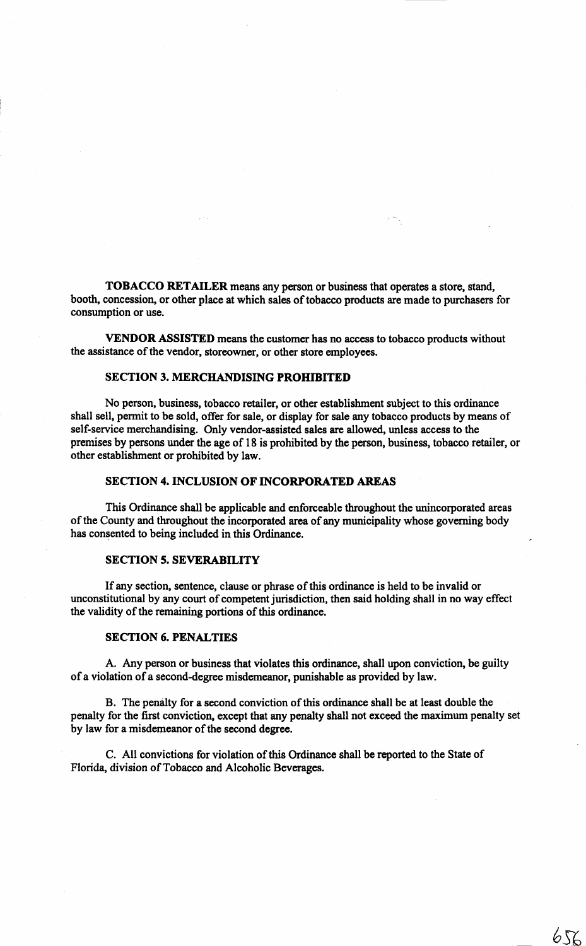TOBACCO RETAILER means any person or business that operates a store, stand, booth, concession, or other place at which sales of tobacco products are made to purchasers for consumption or use.

VENDOR ASSISTED means the customer has no access to tobacco products without the assistance of the vendor, storeowner, or other store employees.

# SECTION 3. MERCHANDISING PROHIBITED

No person, business, tobacco retailer, or other establishment subject to this ordinance shall sell, permit to be sold, offer for sale, or display for sale any tobacco products by means of self-service merchandising. Only vendor-assisted sales are allowed, unless access to the premises by persons under the age of 18 is prohibited by the person, business, tobacco retailer, or other establishment or prohibited by law.

### SECTION 4. INCLUSION OF INCORPORATED AREAS

This Ordinance shall be applicable and enforceable throughout the unincorporated areas of the County and throughout the incorporated area of any municipality whose governing body has consented to being included in this Ordinance.

### SECTION 5. SEVERABILITY

If any section, sentence, clause or phrase of this ordinance is held to be invalid or unconstitutional by any court of competent jurisdiction, then said holding shall in no way effect the validity of the remaining portions of this ordinance.

### SECTION 6. PENALTIES

A. Any person or business that violates this ordinance, shall upon conviction, be guilty of a violation of a second-degree misdemeanor, punishable as provided by law.

B. The penalty for a second conviction of this ordinance shall be at least double the penalty for the first conviction, except that any penalty shall not exceed the maximum penalty set by law for a misdemeanor of the second degree.

C. All convictions for violation of this Ordinance shall be reported to the State of Florida, division of Tobacco and Alcoholic Beverages.